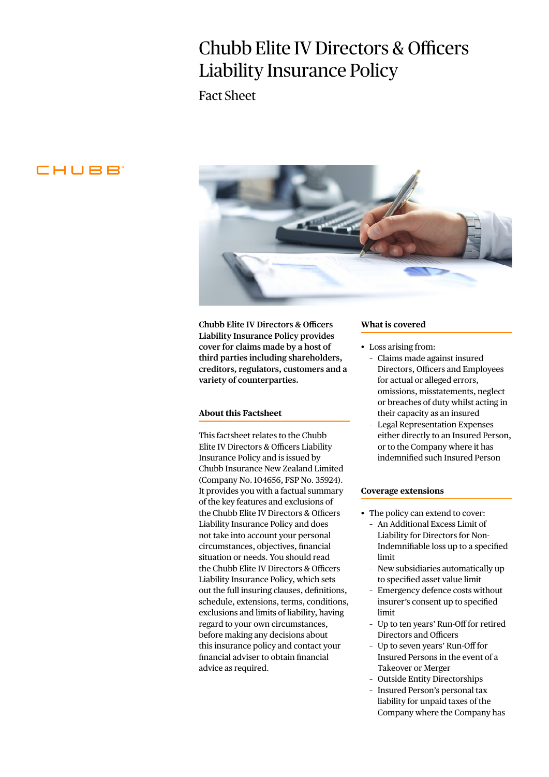# Chubb Elite IV Directors & Officers Liability Insurance Policy

Fact Sheet

# CHUBB



**Chubb Elite IV Directors & Officers Liability Insurance Policy provides cover for claims made by a host of third parties including shareholders, creditors, regulators, customers and a variety of counterparties.** 

# **About this Factsheet**

This factsheet relates to the Chubb Elite IV Directors & Officers Liability Insurance Policy and is issued by Chubb Insurance New Zealand Limited (Company No. 104656, FSP No. 35924). It provides you with a factual summary of the key features and exclusions of the Chubb Elite IV Directors & Officers Liability Insurance Policy and does not take into account your personal circumstances, objectives, financial situation or needs. You should read the Chubb Elite IV Directors & Officers Liability Insurance Policy, which sets out the full insuring clauses, definitions, schedule, extensions, terms, conditions, exclusions and limits of liability, having regard to your own circumstances, before making any decisions about this insurance policy and contact your financial adviser to obtain financial advice as required.

#### **What is covered**

- Loss arising from:
	- Claims made against insured Directors, Officers and Employees for actual or alleged errors, omissions, misstatements, neglect or breaches of duty whilst acting in their capacity as an insured
	- Legal Representation Expenses either directly to an Insured Person, or to the Company where it has indemnified such Insured Person

#### **Coverage extensions**

- The policy can extend to cover:
	- An Additional Excess Limit of Liability for Directors for Non-Indemnifiable loss up to a specified limit
	- New subsidiaries automatically up to specified asset value limit
	- Emergency defence costs without insurer's consent up to specified limit
	- Up to ten years' Run-Off for retired Directors and Officers
	- Up to seven years' Run-Off for Insured Persons in the event of a Takeover or Merger
	- Outside Entity Directorships
	- Insured Person's personal tax liability for unpaid taxes of the Company where the Company has